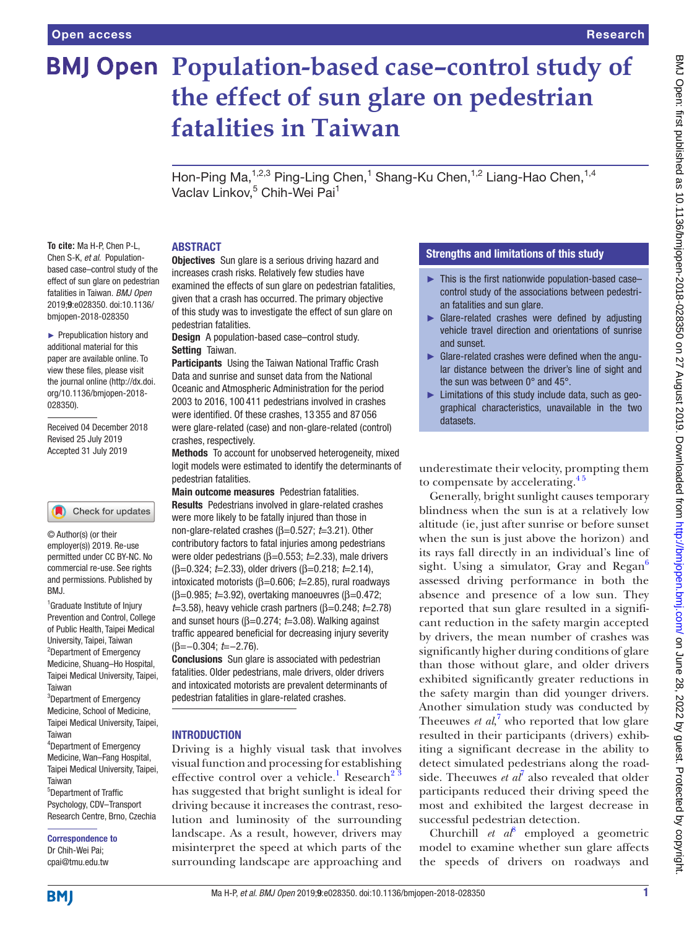# **BMJ Open Population-based case-control study of the effect of sun glare on pedestrian fatalities in Taiwan**

Hon-Ping Ma,<sup>1,2,3</sup> Ping-Ling Chen,<sup>1</sup> Shang-Ku Chen,<sup>1,2</sup> Liang-Hao Chen,<sup>1,4</sup> Vaclav Linkov,<sup>5</sup> Chih-Wei Pai<sup>1</sup>

**To cite:** Ma H-P, Chen P-L, Chen S-K, *et al*. Populationbased case–control study of the effect of sun glare on pedestrian fatalities in Taiwan. *BMJ Open* 2019;9:e028350. doi:10.1136/ bmjopen-2018-028350

► Prepublication history and additional material for this paper are available online. To view these files, please visit the journal online (http://dx.doi. org/10.1136/bmjopen-2018- 028350).

Received 04 December 2018 Revised 25 July 2019 Accepted 31 July 2019

#### Check for updates

© Author(s) (or their employer(s)) 2019. Re-use permitted under CC BY-NC. No commercial re-use. See rights and permissions. Published by BMJ.

<sup>1</sup> Graduate Institute of Injury Prevention and Control, College of Public Health, Taipei Medical University, Taipei, Taiwan <sup>2</sup>Department of Emergency Medicine, Shuang–Ho Hospital, Taipei Medical University, Taipei, Taiwan

<sup>3</sup>Department of Emergency Medicine, School of Medicine, Taipei Medical University, Taipei, Taiwan 4 Department of Emergency Medicine, Wan–Fang Hospital, Taipei Medical University, Taipei,

Taiwan 5 Department of Traffic Psychology, CDV–Transport Research Centre, Brno, Czechia

Correspondence to Dr Chih-Wei Pai; cpai@tmu.edu.tw

#### **ABSTRACT**

**Objectives** Sun glare is a serious driving hazard and increases crash risks. Relatively few studies have examined the effects of sun glare on pedestrian fatalities, given that a crash has occurred. The primary objective of this study was to investigate the effect of sun glare on pedestrian fatalities.

Design A population-based case–control study. Setting Taiwan.

Participants Using the Taiwan National Traffic Crash Data and sunrise and sunset data from the National Oceanic and Atmospheric Administration for the period 2003 to 2016, 100 411 pedestrians involved in crashes were identified. Of these crashes, 13 355 and 87 056 were glare-related (case) and non-glare-related (control) crashes, respectively.

Methods To account for unobserved heterogeneity, mixed logit models were estimated to identify the determinants of pedestrian fatalities.

Main outcome measures Pedestrian fatalities. Results Pedestrians involved in glare-related crashes were more likely to be fatally injured than those in non-glare-related crashes (β=0.527; *t*=3.21). Other contributory factors to fatal injuries among pedestrians were older pedestrians (β=0.553; *t*=2.33), male drivers (β=0.324; *t*=2.33), older drivers (β=0.218; *t*=2.14), intoxicated motorists (β=0.606; *t*=2.85), rural roadways (β=0.985; *t*=3.92), overtaking manoeuvres (β=0.472; *t*=3.58), heavy vehicle crash partners (β=0.248; *t*=2.78) and sunset hours (β=0.274; *t*=3.08). Walking against traffic appeared beneficial for decreasing injury severity (β=−0.304; *t*=−2.76).

Conclusions Sun glare is associated with pedestrian fatalities. Older pedestrians, male drivers, older drivers and intoxicated motorists are prevalent determinants of pedestrian fatalities in glare-related crashes.

#### **INTRODUCTION**

Driving is a highly visual task that involves visual function and processing for establishing effective control over a vehicle.<sup>[1](#page-7-0)</sup> Research<sup>2</sup><sup>3</sup> has suggested that bright sunlight is ideal for driving because it increases the contrast, resolution and luminosity of the surrounding landscape. As a result, however, drivers may misinterpret the speed at which parts of the surrounding landscape are approaching and

#### Strengths and limitations of this study

- ► This is the first nationwide population-based case– control study of the associations between pedestrian fatalities and sun glare.
- ► Glare-related crashes were defined by adjusting vehicle travel direction and orientations of sunrise and sunset.
- ► Glare-related crashes were defined when the angular distance between the driver's line of sight and the sun was between 0° and 45°.
- ► Limitations of this study include data, such as geographical characteristics, unavailable in the two datasets.

underestimate their velocity, prompting them to compensate by accelerating. $4<sup>5</sup>$ 

Generally, bright sunlight causes temporary blindness when the sun is at a relatively low altitude (ie, just after sunrise or before sunset when the sun is just above the horizon) and its rays fall directly in an individual's line of sight. Using a simulator, Gray and Regan $^6$  $^6$ assessed driving performance in both the absence and presence of a low sun. They reported that sun glare resulted in a significant reduction in the safety margin accepted by drivers, the mean number of crashes was significantly higher during conditions of glare than those without glare, and older drivers exhibited significantly greater reductions in the safety margin than did younger drivers. Another simulation study was conducted by Theeuwes *et al*,<sup>[7](#page-7-4)</sup> who reported that low glare resulted in their participants (drivers) exhibiting a significant decrease in the ability to detect simulated pedestrians along the roadside. Theeuwes  $et \text{ } a\text{ } l\text{ }$  also revealed that older participants reduced their driving speed the most and exhibited the largest decrease in successful pedestrian detection.

Churchill *et al*<sup>[8](#page-8-0)</sup> employed a geometric model to examine whether sun glare affects the speeds of drivers on roadways and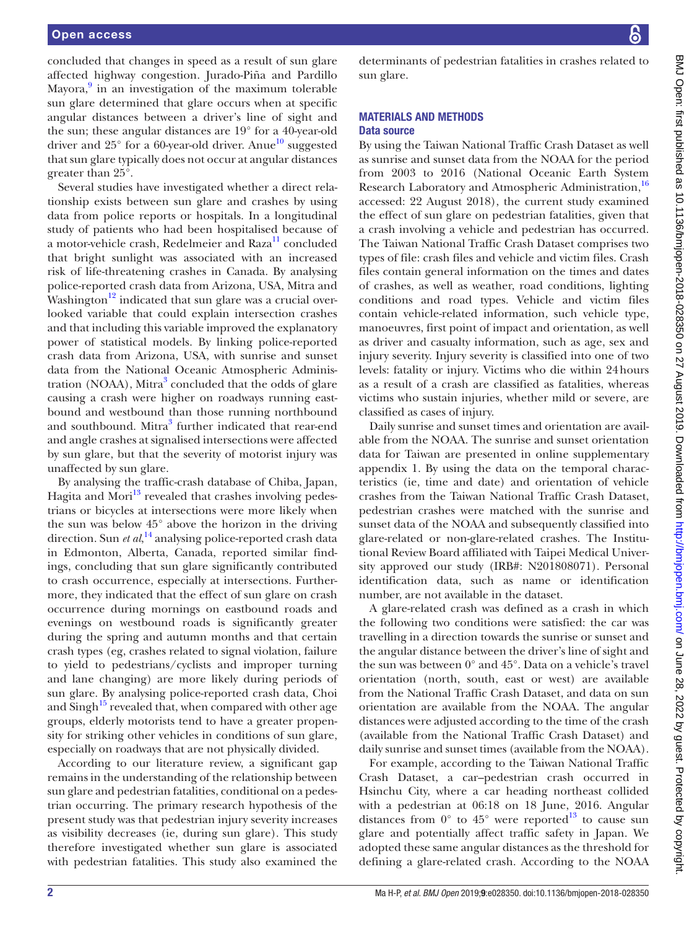concluded that changes in speed as a result of sun glare affected highway congestion. Jurado-Piña and Pardillo Mayora,<sup>9</sup> in an investigation of the maximum tolerable sun glare determined that glare occurs when at specific angular distances between a driver's line of sight and the sun; these angular distances are 19° for a 40-year-old driver and  $25^{\circ}$  for a 60-year-old driver. Anue<sup>10</sup> suggested that sun glare typically does not occur at angular distances greater than 25°.

Several studies have investigated whether a direct relationship exists between sun glare and crashes by using data from police reports or hospitals. In a longitudinal study of patients who had been hospitalised because of a motor-vehicle crash, Redelmeier and Raza<sup>[11](#page-8-3)</sup> concluded that bright sunlight was associated with an increased risk of life-threatening crashes in Canada. By analysing police-reported crash data from Arizona, USA, Mitra and Washington<sup>12</sup> indicated that sun glare was a crucial overlooked variable that could explain intersection crashes and that including this variable improved the explanatory power of statistical models. By linking police-reported crash data from Arizona, USA, with sunrise and sunset data from the National Oceanic Atmospheric Adminis-tration (NOAA), Mitra<sup>[3](#page-7-5)</sup> concluded that the odds of glare causing a crash were higher on roadways running eastbound and westbound than those running northbound and southbound. Mitra<sup>[3](#page-7-5)</sup> further indicated that rear-end and angle crashes at signalised intersections were affected by sun glare, but that the severity of motorist injury was unaffected by sun glare.

By analysing the traffic-crash database of Chiba, Japan, Hagita and Mori<sup>[13](#page-8-5)</sup> revealed that crashes involving pedestrians or bicycles at intersections were more likely when the sun was below 45° above the horizon in the driving direction. Sun *et al*, [14](#page-8-6) analysing police-reported crash data in Edmonton, Alberta, Canada, reported similar findings, concluding that sun glare significantly contributed to crash occurrence, especially at intersections. Furthermore, they indicated that the effect of sun glare on crash occurrence during mornings on eastbound roads and evenings on westbound roads is significantly greater during the spring and autumn months and that certain crash types (eg, crashes related to signal violation, failure to yield to pedestrians/cyclists and improper turning and lane changing) are more likely during periods of sun glare. By analysing police-reported crash data, Choi and  $\text{Sing}h^{15}$  $\text{Sing}h^{15}$  $\text{Sing}h^{15}$  revealed that, when compared with other age groups, elderly motorists tend to have a greater propensity for striking other vehicles in conditions of sun glare, especially on roadways that are not physically divided.

According to our literature review, a significant gap remains in the understanding of the relationship between sun glare and pedestrian fatalities, conditional on a pedestrian occurring. The primary research hypothesis of the present study was that pedestrian injury severity increases as visibility decreases (ie, during sun glare). This study therefore investigated whether sun glare is associated with pedestrian fatalities. This study also examined the

determinants of pedestrian fatalities in crashes related to sun glare.

# Materials and methods

### Data source

By using the Taiwan National Traffic Crash Dataset as well as sunrise and sunset data from the NOAA for the period from 2003 to 2016 (National Oceanic Earth System Research Laboratory and Atmospheric Administration,<sup>[16](#page-8-8)</sup> accessed: 22 August 2018), the current study examined the effect of sun glare on pedestrian fatalities, given that a crash involving a vehicle and pedestrian has occurred. The Taiwan National Traffic Crash Dataset comprises two types of file: crash files and vehicle and victim files. Crash files contain general information on the times and dates of crashes, as well as weather, road conditions, lighting conditions and road types. Vehicle and victim files contain vehicle-related information, such vehicle type, manoeuvres, first point of impact and orientation, as well as driver and casualty information, such as age, sex and injury severity. Injury severity is classified into one of two levels: fatality or injury. Victims who die within 24hours as a result of a crash are classified as fatalities, whereas victims who sustain injuries, whether mild or severe, are classified as cases of injury.

Daily sunrise and sunset times and orientation are available from the NOAA. The sunrise and sunset orientation data for Taiwan are presented in [online supplementary](https://dx.doi.org/10.1136/bmjopen-2018-028350)  [appendix 1](https://dx.doi.org/10.1136/bmjopen-2018-028350). By using the data on the temporal characteristics (ie, time and date) and orientation of vehicle crashes from the Taiwan National Traffic Crash Dataset, pedestrian crashes were matched with the sunrise and sunset data of the NOAA and subsequently classified into glare-related or non-glare-related crashes. The Institutional Review Board affiliated with Taipei Medical University approved our study (IRB#: N201808071). Personal identification data, such as name or identification number, are not available in the dataset.

A glare-related crash was defined as a crash in which the following two conditions were satisfied: the car was travelling in a direction towards the sunrise or sunset and the angular distance between the driver's line of sight and the sun was between 0° and 45°. Data on a vehicle's travel orientation (north, south, east or west) are available from the National Traffic Crash Dataset, and data on sun orientation are available from the NOAA. The angular distances were adjusted according to the time of the crash (available from the National Traffic Crash Dataset) and daily sunrise and sunset times (available from the NOAA).

For example, according to the Taiwan National Traffic Crash Dataset, a car–pedestrian crash occurred in Hsinchu City, where a car heading northeast collided with a pedestrian at 06:18 on 18 June, 2016. Angular distances from  $0^{\circ}$  to  $45^{\circ}$  were reported<sup>[13](#page-8-5)</sup> to cause sun glare and potentially affect traffic safety in Japan. We adopted these same angular distances as the threshold for defining a glare-related crash. According to the NOAA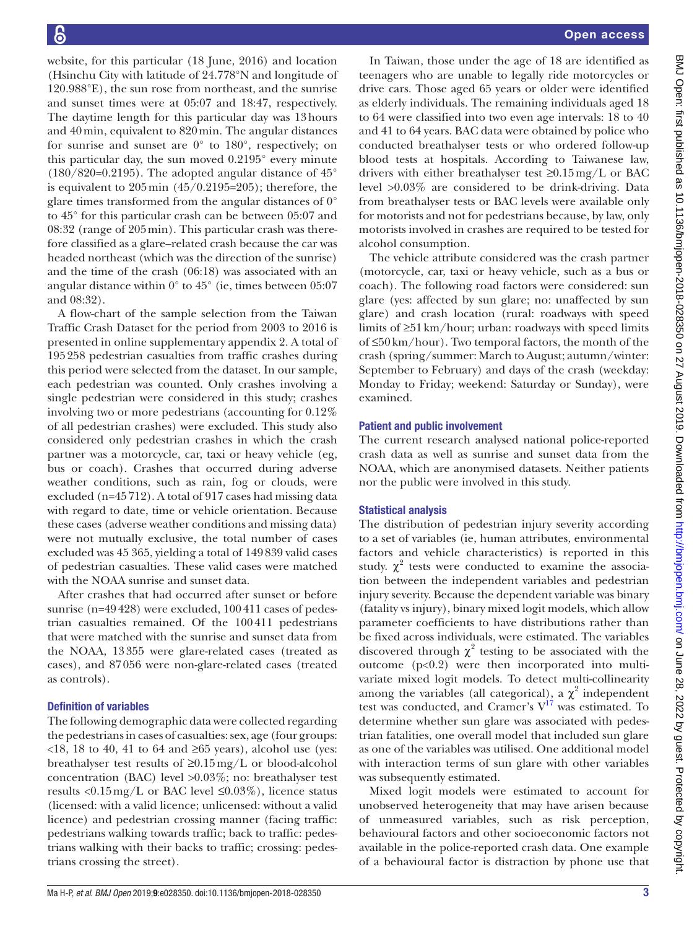website, for this particular (18 June, 2016) and location (Hsinchu City with latitude of 24.778°N and longitude of 120.988°E), the sun rose from northeast, and the sunrise and sunset times were at 05:07 and 18:47, respectively. The daytime length for this particular day was 13hours and 40min, equivalent to 820min. The angular distances for sunrise and sunset are  $0^{\circ}$  to  $180^{\circ}$ , respectively; on this particular day, the sun moved 0.2195° every minute  $(180/820=0.2195)$ . The adopted angular distance of  $45^{\circ}$ is equivalent to  $205 \text{min}$  (45/0.2195=205); therefore, the glare times transformed from the angular distances of 0° to 45° for this particular crash can be between 05:07 and 08:32 (range of 205min). This particular crash was therefore classified as a glare–related crash because the car was headed northeast (which was the direction of the sunrise) and the time of the crash (06:18) was associated with an angular distance within  $0^{\circ}$  to  $45^{\circ}$  (ie, times between 05:07 and 08:32).

A flow-chart of the sample selection from the Taiwan Traffic Crash Dataset for the period from 2003 to 2016 is presented in [online supplementary appendix 2.](https://dx.doi.org/10.1136/bmjopen-2018-028350) A total of 195258 pedestrian casualties from traffic crashes during this period were selected from the dataset. In our sample, each pedestrian was counted. Only crashes involving a single pedestrian were considered in this study; crashes involving two or more pedestrians (accounting for 0.12% of all pedestrian crashes) were excluded. This study also considered only pedestrian crashes in which the crash partner was a motorcycle, car, taxi or heavy vehicle (eg, bus or coach). Crashes that occurred during adverse weather conditions, such as rain, fog or clouds, were excluded (n=45712). A total of 917 cases had missing data with regard to date, time or vehicle orientation. Because these cases (adverse weather conditions and missing data) were not mutually exclusive, the total number of cases excluded was 45 365, yielding a total of 149839 valid cases of pedestrian casualties. These valid cases were matched with the NOAA sunrise and sunset data.

After crashes that had occurred after sunset or before sunrise (n=49428) were excluded, 100411 cases of pedestrian casualties remained. Of the 100411 pedestrians that were matched with the sunrise and sunset data from the NOAA, 13355 were glare-related cases (treated as cases), and 87056 were non-glare-related cases (treated as controls).

## Definition of variables

The following demographic data were collected regarding the pedestrians in cases of casualties: sex, age (four groups: <18, 18 to 40, 41 to 64 and ≥65 years), alcohol use (yes: breathalyser test results of ≥0.15mg/L or blood-alcohol concentration (BAC) level >0.03%; no: breathalyser test results <0.15 mg/L or BAC level  $\leq 0.03\%$ ), licence status (licensed: with a valid licence; unlicensed: without a valid licence) and pedestrian crossing manner (facing traffic: pedestrians walking towards traffic; back to traffic: pedestrians walking with their backs to traffic; crossing: pedestrians crossing the street).

In Taiwan, those under the age of 18 are identified as teenagers who are unable to legally ride motorcycles or drive cars. Those aged 65 years or older were identified as elderly individuals. The remaining individuals aged 18 to 64 were classified into two even age intervals: 18 to 40 and 41 to 64 years. BAC data were obtained by police who conducted breathalyser tests or who ordered follow-up blood tests at hospitals. According to Taiwanese law, drivers with either breathalyser test  $\geq 0.15$  mg/L or BAC level >0.03% are considered to be drink-driving. Data from breathalyser tests or BAC levels were available only for motorists and not for pedestrians because, by law, only motorists involved in crashes are required to be tested for alcohol consumption.

The vehicle attribute considered was the crash partner (motorcycle, car, taxi or heavy vehicle, such as a bus or coach). The following road factors were considered: sun glare (yes: affected by sun glare; no: unaffected by sun glare) and crash location (rural: roadways with speed limits of ≥51km/hour; urban: roadways with speed limits of ≤50km/hour). Two temporal factors, the month of the crash (spring/summer: March to August; autumn/winter: September to February) and days of the crash (weekday: Monday to Friday; weekend: Saturday or Sunday), were examined.

# Patient and public involvement

The current research analysed national police-reported crash data as well as sunrise and sunset data from the NOAA, which are anonymised datasets. Neither patients nor the public were involved in this study.

# Statistical analysis

The distribution of pedestrian injury severity according to a set of variables (ie, human attributes, environmental factors and vehicle characteristics) is reported in this study.  $\chi^2$  tests were conducted to examine the association between the independent variables and pedestrian injury severity. Because the dependent variable was binary (fatality vs injury), binary mixed logit models, which allow parameter coefficients to have distributions rather than be fixed across individuals, were estimated. The variables discovered through  $\chi^2$  testing to be associated with the outcome  $(p<0.2)$  were then incorporated into multivariate mixed logit models. To detect multi-collinearity among the variables (all categorical), a  $\chi^2$  independent test was conducted, and Cramer's  $V^{17}$  was estimated. To determine whether sun glare was associated with pedestrian fatalities, one overall model that included sun glare as one of the variables was utilised. One additional model with interaction terms of sun glare with other variables was subsequently estimated.

Mixed logit models were estimated to account for unobserved heterogeneity that may have arisen because of unmeasured variables, such as risk perception, behavioural factors and other socioeconomic factors not available in the police-reported crash data. One example of a behavioural factor is distraction by phone use that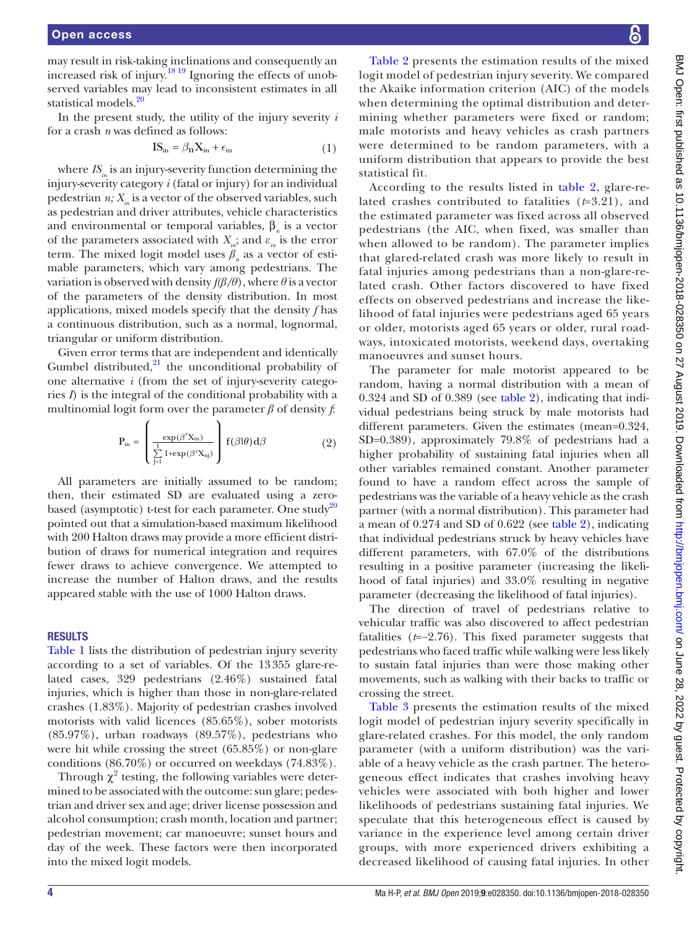may result in risk-taking inclinations and consequently an increased risk of injury[.18 19](#page-8-10) Ignoring the effects of unobserved variables may lead to inconsistent estimates in all statistical models.<sup>[20](#page-8-11)</sup>

In the present study, the utility of the injury severity *i* for a crash *n* was defined as follows:

$$
IS_{\text{in}} = \beta_{\text{n}} X_{\text{in}} + \epsilon_{\text{in}} \tag{1}
$$

where  $IS_{in}$  is an injury-severity function determining the injury-severity category *i* (fatal or injury) for an individual pedestrian  $n$ ;  $X_{in}$  is a vector of the observed variables, such as pedestrian and driver attributes, vehicle characteristics and environmental or temporal variables,  $\beta_n$  is a vector of the parameters associated with  $X_{\hat{i}}$ ; and  $\varepsilon_{\hat{i}}$  is the error term. The mixed logit model uses  $\beta_n$  as a vector of estimable parameters, which vary among pedestrians. The variation is observed with density  $f(\beta/\theta)$ , where  $\theta$  is a vector of the parameters of the density distribution. In most applications, mixed models specify that the density *f* has a continuous distribution, such as a normal, lognormal, triangular or uniform distribution.

Given error terms that are independent and identically Gumbel distributed, $^{21}$  the unconditional probability of one alternative *i* (from the set of injury-severity categories *I*) is the integral of the conditional probability with a multinomial logit form over the parameter *β* of density *f*:

$$
P_{\rm in} = \left(\frac{\exp(\beta'X_{\rm in})}{\sum_{j=1}^{I} 1 + \exp(\beta'X_{\rm inj})}\right) f(\beta|\theta) d\beta \tag{2}
$$

All parameters are initially assumed to be random; then, their estimated SD are evaluated using a zero-based (asymptotic) t-test for each parameter. One study<sup>[20](#page-8-11)</sup> pointed out that a simulation-based maximum likelihood with 200 Halton draws may provide a more efficient distribution of draws for numerical integration and requires fewer draws to achieve convergence. We attempted to increase the number of Halton draws, and the results appeared stable with the use of 1000 Halton draws.

#### **RESULTS**

[Table](#page-4-0) 1 lists the distribution of pedestrian injury severity according to a set of variables. Of the 13355 glare-related cases, 329 pedestrians (2.46%) sustained fatal injuries, which is higher than those in non-glare-related crashes (1.83%). Majority of pedestrian crashes involved motorists with valid licences (85.65%), sober motorists (85.97%), urban roadways (89.57%), pedestrians who were hit while crossing the street (65.85%) or non-glare conditions (86.70%) or occurred on weekdays (74.83%).

Through  $\chi^2$  testing, the following variables were determined to be associated with the outcome: sun glare; pedestrian and driver sex and age; driver license possession and alcohol consumption; crash month, location and partner; pedestrian movement; car manoeuvre; sunset hours and day of the week. These factors were then incorporated into the mixed logit models.

[Table](#page-5-0) 2 presents the estimation results of the mixed logit model of pedestrian injury severity. We compared the Akaike information criterion (AIC) of the models when determining the optimal distribution and determining whether parameters were fixed or random; male motorists and heavy vehicles as crash partners were determined to be random parameters, with a uniform distribution that appears to provide the best statistical fit.

According to the results listed in [table](#page-5-0) 2, glare-related crashes contributed to fatalities (*t*=3.21), and the estimated parameter was fixed across all observed pedestrians (the AIC, when fixed, was smaller than when allowed to be random). The parameter implies that glared-related crash was more likely to result in fatal injuries among pedestrians than a non-glare-related crash. Other factors discovered to have fixed effects on observed pedestrians and increase the likelihood of fatal injuries were pedestrians aged 65 years or older, motorists aged 65 years or older, rural roadways, intoxicated motorists, weekend days, overtaking manoeuvres and sunset hours.

The parameter for male motorist appeared to be random, having a normal distribution with a mean of 0.324 and SD of 0.389 (see [table](#page-5-0) 2), indicating that individual pedestrians being struck by male motorists had different parameters. Given the estimates (mean=0.324, SD=0.389), approximately 79.8% of pedestrians had a higher probability of sustaining fatal injuries when all other variables remained constant. Another parameter found to have a random effect across the sample of pedestrians was the variable of a heavy vehicle as the crash partner (with a normal distribution). This parameter had a mean of 0.274 and SD of 0.622 (see [table](#page-5-0) 2), indicating that individual pedestrians struck by heavy vehicles have different parameters, with 67.0% of the distributions resulting in a positive parameter (increasing the likelihood of fatal injuries) and 33.0% resulting in negative parameter (decreasing the likelihood of fatal injuries).

The direction of travel of pedestrians relative to vehicular traffic was also discovered to affect pedestrian fatalities (*t*=−2.76). This fixed parameter suggests that pedestrians who faced traffic while walking were less likely to sustain fatal injuries than were those making other movements, such as walking with their backs to traffic or crossing the street.

[Table](#page-5-1) 3 presents the estimation results of the mixed logit model of pedestrian injury severity specifically in glare-related crashes. For this model, the only random parameter (with a uniform distribution) was the variable of a heavy vehicle as the crash partner. The heterogeneous effect indicates that crashes involving heavy vehicles were associated with both higher and lower likelihoods of pedestrians sustaining fatal injuries. We speculate that this heterogeneous effect is caused by variance in the experience level among certain driver groups, with more experienced drivers exhibiting a decreased likelihood of causing fatal injuries. In other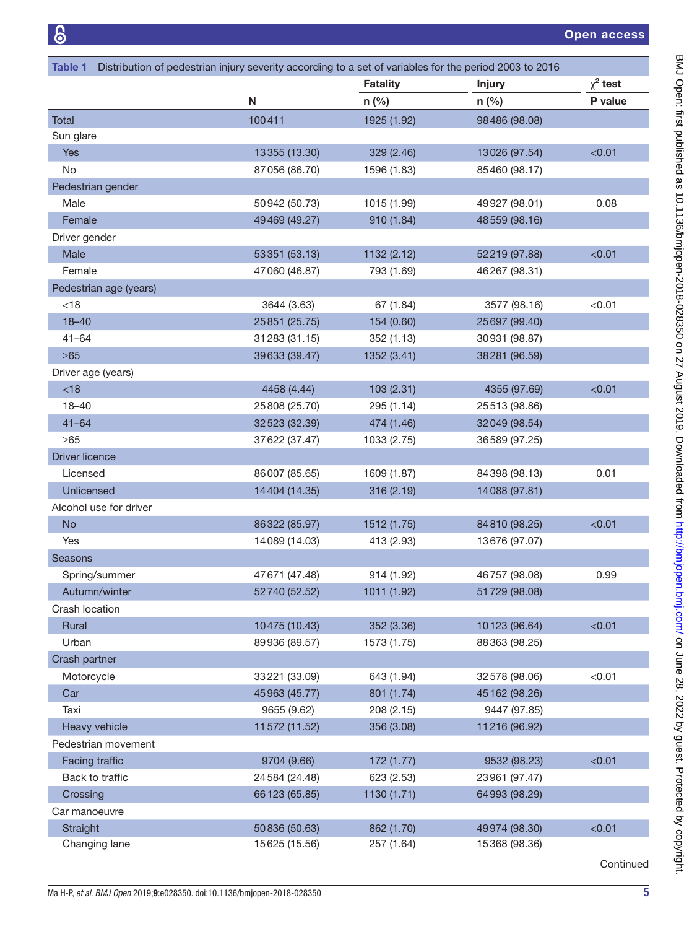<span id="page-4-0"></span>

| Distribution of pedestrian injury severity according to a set of variables for the period 2003 to 2016<br>Table 1 |                |                 |                |               |  |
|-------------------------------------------------------------------------------------------------------------------|----------------|-----------------|----------------|---------------|--|
|                                                                                                                   |                | <b>Fatality</b> | <b>Injury</b>  | $\chi^2$ test |  |
|                                                                                                                   | N              | $n$ (%)         | $n$ (%)        | P value       |  |
| Total                                                                                                             | 100411         | 1925 (1.92)     | 98486 (98.08)  |               |  |
| Sun glare                                                                                                         |                |                 |                |               |  |
| <b>Yes</b>                                                                                                        | 13355 (13.30)  | 329 (2.46)      | 13026 (97.54)  | < 0.01        |  |
| No                                                                                                                | 87056 (86.70)  | 1596 (1.83)     | 85460 (98.17)  |               |  |
| Pedestrian gender                                                                                                 |                |                 |                |               |  |
| Male                                                                                                              | 50942 (50.73)  | 1015 (1.99)     | 49927 (98.01)  | 0.08          |  |
| Female                                                                                                            | 49469 (49.27)  | 910 (1.84)      | 48559 (98.16)  |               |  |
| Driver gender                                                                                                     |                |                 |                |               |  |
| Male                                                                                                              | 53351 (53.13)  | 1132 (2.12)     | 52219 (97.88)  | < 0.01        |  |
| Female                                                                                                            | 47060 (46.87)  | 793 (1.69)      | 46267 (98.31)  |               |  |
| Pedestrian age (years)                                                                                            |                |                 |                |               |  |
| < 18                                                                                                              | 3644 (3.63)    | 67 (1.84)       | 3577 (98.16)   | < 0.01        |  |
| $18 - 40$                                                                                                         | 25851 (25.75)  | 154 (0.60)      | 25 697 (99.40) |               |  |
| $41 - 64$                                                                                                         | 31283 (31.15)  | 352 (1.13)      | 30931 (98.87)  |               |  |
| $\geq 65$                                                                                                         | 39633 (39.47)  | 1352 (3.41)     | 38281 (96.59)  |               |  |
| Driver age (years)                                                                                                |                |                 |                |               |  |
| <18                                                                                                               | 4458 (4.44)    | 103 (2.31)      | 4355 (97.69)   | < 0.01        |  |
| $18 - 40$                                                                                                         | 25 808 (25.70) | 295 (1.14)      | 25513 (98.86)  |               |  |
| $41 - 64$                                                                                                         | 32523 (32.39)  | 474 (1.46)      | 32049 (98.54)  |               |  |
| $\geq 65$                                                                                                         | 37622 (37.47)  | 1033 (2.75)     | 36589 (97.25)  |               |  |
| <b>Driver licence</b>                                                                                             |                |                 |                |               |  |
| Licensed                                                                                                          | 86007 (85.65)  | 1609 (1.87)     | 84398 (98.13)  | 0.01          |  |
| <b>Unlicensed</b>                                                                                                 | 14404 (14.35)  | 316 (2.19)      | 14088 (97.81)  |               |  |
| Alcohol use for driver                                                                                            |                |                 |                |               |  |
| <b>No</b>                                                                                                         | 86322 (85.97)  | 1512 (1.75)     | 84810 (98.25)  | < 0.01        |  |
| Yes                                                                                                               | 14089 (14.03)  | 413 (2.93)      | 13676 (97.07)  |               |  |
| <b>Seasons</b>                                                                                                    |                |                 |                |               |  |
| Spring/summer                                                                                                     | 47 671 (47.48) | 914 (1.92)      | 46757 (98.08)  | 0.99          |  |
| Autumn/winter                                                                                                     | 52740 (52.52)  | 1011 (1.92)     | 51729 (98.08)  |               |  |
| Crash location                                                                                                    |                |                 |                |               |  |
| Rural                                                                                                             | 10475 (10.43)  | 352 (3.36)      | 10123 (96.64)  | < 0.01        |  |
| Urban                                                                                                             | 89936 (89.57)  | 1573 (1.75)     | 88363 (98.25)  |               |  |
| Crash partner                                                                                                     |                |                 |                |               |  |
| Motorcycle                                                                                                        | 33221 (33.09)  | 643 (1.94)      | 32578 (98.06)  | < 0.01        |  |
| Car                                                                                                               | 45963 (45.77)  | 801 (1.74)      | 45 162 (98.26) |               |  |
| Taxi                                                                                                              | 9655 (9.62)    | 208 (2.15)      | 9447 (97.85)   |               |  |
| Heavy vehicle                                                                                                     | 11572 (11.52)  | 356 (3.08)      | 11216 (96.92)  |               |  |
| Pedestrian movement                                                                                               |                |                 |                |               |  |
| Facing traffic                                                                                                    | 9704 (9.66)    | 172 (1.77)      | 9532 (98.23)   | < 0.01        |  |
| Back to traffic                                                                                                   | 24584 (24.48)  | 623 (2.53)      | 23961 (97.47)  |               |  |
| Crossing                                                                                                          | 66123 (65.85)  | 1130 (1.71)     | 64993 (98.29)  |               |  |
| Car manoeuvre                                                                                                     |                |                 |                |               |  |
| Straight                                                                                                          | 50836 (50.63)  | 862 (1.70)      | 49974 (98.30)  | < 0.01        |  |
| Changing lane                                                                                                     | 15625 (15.56)  | 257 (1.64)      | 15368 (98.36)  |               |  |
|                                                                                                                   |                |                 |                | Continued     |  |

BMJ Open: first published as 10.1136/bmjopen-2018-028350 on 27 August 2019. Downloaded from http://bmjopen.bmj.com/ on June 28, 2022 by guest. Protected by copyright. BMJ Open: first published as 10.1136/bmjopen-2018-012-2018. Dugust 2019. Downloaded from <http://bmjopen.bmj.com/> on June 28, 2022 by guest. Protected by copyright.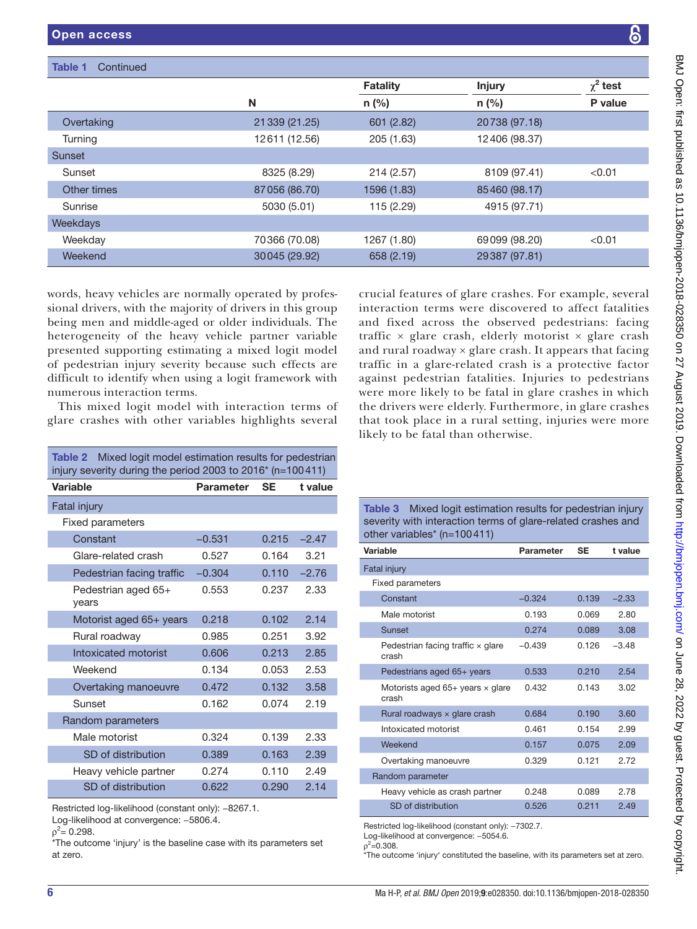| Table 1<br>Continued |                |                 |               |               |
|----------------------|----------------|-----------------|---------------|---------------|
|                      |                | <b>Fatality</b> | <b>Injury</b> | $\chi^2$ test |
|                      | N              | $n$ (%)         | $n$ (%)       | P value       |
| Overtaking           | 21 339 (21.25) | 601 (2.82)      | 20738 (97.18) |               |
| Turning              | 12611 (12.56)  | 205 (1.63)      | 12406 (98.37) |               |
| <b>Sunset</b>        |                |                 |               |               |
| Sunset               | 8325 (8.29)    | 214(2.57)       | 8109 (97.41)  | < 0.01        |
| Other times          | 87056 (86.70)  | 1596 (1.83)     | 85460 (98.17) |               |
| Sunrise              | 5030 (5.01)    | 115 (2.29)      | 4915 (97.71)  |               |
| Weekdays             |                |                 |               |               |
| Weekday              | 70366 (70.08)  | 1267 (1.80)     | 69099 (98.20) | < 0.01        |
| Weekend              | 30045 (29.92)  | 658 (2.19)      | 29387 (97.81) |               |

words, heavy vehicles are normally operated by professional drivers, with the majority of drivers in this group being men and middle-aged or older individuals. The heterogeneity of the heavy vehicle partner variable presented supporting estimating a mixed logit model of pedestrian injury severity because such effects are difficult to identify when using a logit framework with numerous interaction terms.

This mixed logit model with interaction terms of glare crashes with other variables highlights several

<span id="page-5-0"></span>Table 2 Mixed logit model estimation results for pedestrian

crucial features of glare crashes. For example, several interaction terms were discovered to affect fatalities and fixed across the observed pedestrians: facing traffic  $\times$  glare crash, elderly motorist  $\times$  glare crash and rural roadway  $\times$  glare crash. It appears that facing traffic in a glare-related crash is a protective factor against pedestrian fatalities. Injuries to pedestrians were more likely to be fatal in glare crashes in which the drivers were elderly. Furthermore, in glare crashes that took place in a rural setting, injuries were more likely to be fatal than otherwise.

| injury severity during the period 2003 to 2016* (n=100411) |                  |           |         |  |  |
|------------------------------------------------------------|------------------|-----------|---------|--|--|
| <b>Variable</b>                                            | <b>Parameter</b> | <b>SE</b> | t value |  |  |
| <b>Fatal injury</b>                                        |                  |           |         |  |  |
| Fixed parameters                                           |                  |           |         |  |  |
| Constant                                                   | $-0.531$         | 0.215     | $-2.47$ |  |  |
| Glare-related crash                                        | 0.527            | 0.164     | 3.21    |  |  |
| Pedestrian facing traffic                                  | $-0.304$         | 0.110     | $-2.76$ |  |  |
| Pedestrian aged 65+<br>years                               | 0.553            | 0.237     | 2.33    |  |  |
| Motorist aged 65+ years                                    | 0.218            | 0.102     | 2.14    |  |  |
| Rural roadway                                              | 0.985            | 0.251     | 3.92    |  |  |
| Intoxicated motorist                                       | 0.606            | 0.213     | 2.85    |  |  |
| Weekend                                                    | 0.134            | 0.053     | 2.53    |  |  |
| Overtaking manoeuvre                                       | 0.472            | 0.132     | 3.58    |  |  |
| Sunset                                                     | 0.162            | 0.074     | 2.19    |  |  |
| Random parameters                                          |                  |           |         |  |  |
| Male motorist                                              | 0.324            | 0.139     | 2.33    |  |  |
| SD of distribution                                         | 0.389            | 0.163     | 2.39    |  |  |
| Heavy vehicle partner                                      | 0.274            | 0.110     | 2.49    |  |  |
| SD of distribution                                         | 0.622            | 0.290     | 2.14    |  |  |

Restricted log-likelihood (constant only): −8267.1.

Log-likelihood at convergence: −5806.4.

\*The outcome 'injury' is the baseline case with its parameters set at zero.

<span id="page-5-1"></span>Table 3 Mixed logit estimation results for pedestrian injury severity with interaction terms of glare-related crashes and other variables\* (n=100411)

| Variable                                           | <b>Parameter</b> | <b>SE</b> | t value |
|----------------------------------------------------|------------------|-----------|---------|
| Fatal injury                                       |                  |           |         |
| <b>Fixed parameters</b>                            |                  |           |         |
| Constant                                           | $-0.324$         | 0.139     | $-2.33$ |
| Male motorist                                      | 0.193            | 0.069     | 2.80    |
| Sunset                                             | 0.274            | 0.089     | 3.08    |
| Pedestrian facing traffic $\times$ glare<br>crash  | $-0.439$         | 0.126     | $-3.48$ |
| Pedestrians aged 65+ years                         | 0.533            | 0.210     | 2.54    |
| Motorists aged $65+$ years $\times$ glare<br>crash | 0.432            | 0.143     | 3.02    |
| Rural roadways $\times$ glare crash                | 0.684            | 0.190     | 3.60    |
| Intoxicated motorist                               | 0.461            | 0.154     | 2.99    |
| Weekend                                            | 0.157            | 0.075     | 2.09    |
| Overtaking manoeuvre                               | 0.329            | 0.121     | 2.72    |
| Random parameter                                   |                  |           |         |
| Heavy vehicle as crash partner                     | 0.248            | 0.089     | 2.78    |
| SD of distribution                                 | 0.526            | 0.211     | 2.49    |

Restricted log-likelihood (constant only): −7302.7.

 $p^2 = 0.308$ .

\*The outcome 'injury' constituted the baseline, with its parameters set at zero.

 $\rho^2$  = 0.298.

Log-likelihood at convergence: −5054.6.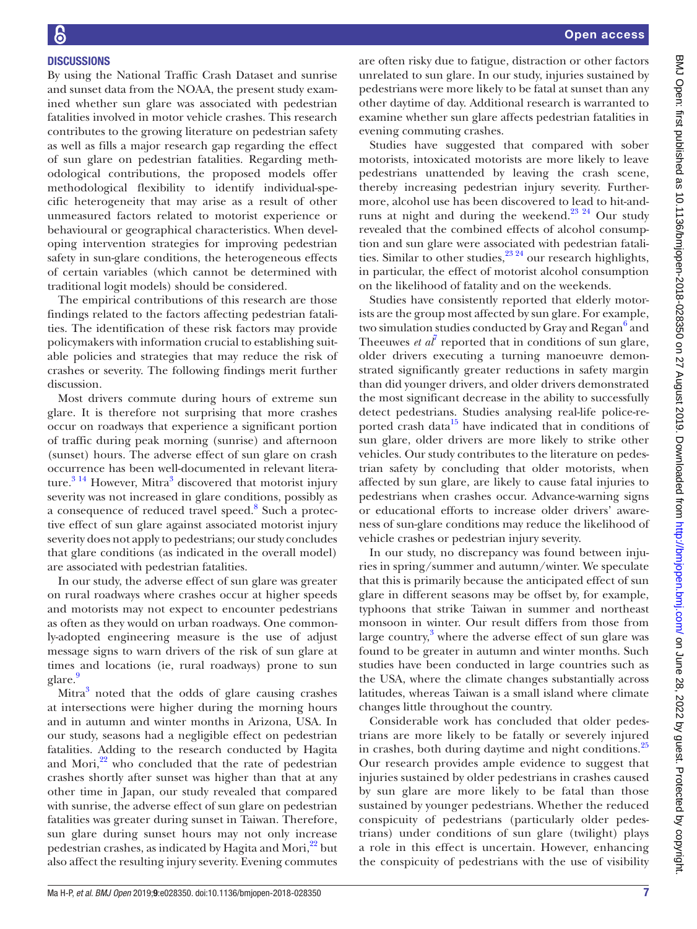### **DISCUSSIONS**

By using the National Traffic Crash Dataset and sunrise and sunset data from the NOAA, the present study examined whether sun glare was associated with pedestrian fatalities involved in motor vehicle crashes. This research contributes to the growing literature on pedestrian safety as well as fills a major research gap regarding the effect of sun glare on pedestrian fatalities. Regarding methodological contributions, the proposed models offer methodological flexibility to identify individual-specific heterogeneity that may arise as a result of other unmeasured factors related to motorist experience or behavioural or geographical characteristics. When developing intervention strategies for improving pedestrian safety in sun-glare conditions, the heterogeneous effects of certain variables (which cannot be determined with traditional logit models) should be considered.

The empirical contributions of this research are those findings related to the factors affecting pedestrian fatalities. The identification of these risk factors may provide policymakers with information crucial to establishing suitable policies and strategies that may reduce the risk of crashes or severity. The following findings merit further discussion.

Most drivers commute during hours of extreme sun glare. It is therefore not surprising that more crashes occur on roadways that experience a significant portion of traffic during peak morning (sunrise) and afternoon (sunset) hours. The adverse effect of sun glare on crash occurrence has been well-documented in relevant literature. $3^{14}$  $3^{14}$  However, Mitra<sup>3</sup> discovered that motorist injury severity was not increased in glare conditions, possibly as a consequence of reduced travel speed.<sup>[8](#page-8-0)</sup> Such a protective effect of sun glare against associated motorist injury severity does not apply to pedestrians; our study concludes that glare conditions (as indicated in the overall model) are associated with pedestrian fatalities.

In our study, the adverse effect of sun glare was greater on rural roadways where crashes occur at higher speeds and motorists may not expect to encounter pedestrians as often as they would on urban roadways. One commonly-adopted engineering measure is the use of adjust message signs to warn drivers of the risk of sun glare at times and locations (ie, rural roadways) prone to sun glare.<sup>[9](#page-8-1)</sup>

Mitra<sup>3</sup> noted that the odds of glare causing crashes at intersections were higher during the morning hours and in autumn and winter months in Arizona, USA. In our study, seasons had a negligible effect on pedestrian fatalities. Adding to the research conducted by Hagita and Mori, $^{22}$  who concluded that the rate of pedestrian crashes shortly after sunset was higher than that at any other time in Japan, our study revealed that compared with sunrise, the adverse effect of sun glare on pedestrian fatalities was greater during sunset in Taiwan. Therefore, sun glare during sunset hours may not only increase pedestrian crashes, as indicated by Hagita and Mori,<sup>22</sup> but also affect the resulting injury severity. Evening commutes

are often risky due to fatigue, distraction or other factors unrelated to sun glare. In our study, injuries sustained by pedestrians were more likely to be fatal at sunset than any other daytime of day. Additional research is warranted to examine whether sun glare affects pedestrian fatalities in evening commuting crashes.

Studies have suggested that compared with sober motorists, intoxicated motorists are more likely to leave pedestrians unattended by leaving the crash scene, thereby increasing pedestrian injury severity. Furthermore, alcohol use has been discovered to lead to hit-andruns at night and during the weekend. $23 \frac{23}{4}$  Our study revealed that the combined effects of alcohol consumption and sun glare were associated with pedestrian fatalities. Similar to other studies,  $23.24$  our research highlights, in particular, the effect of motorist alcohol consumption on the likelihood of fatality and on the weekends.

Studies have consistently reported that elderly motorists are the group most affected by sun glare. For example, two simulation studies conducted by Gray and Regan<sup>[6](#page-7-3)</sup> and Theeuwes *et*  $a\bar{l}$  reported that in conditions of sun glare, older drivers executing a turning manoeuvre demonstrated significantly greater reductions in safety margin than did younger drivers, and older drivers demonstrated the most significant decrease in the ability to successfully detect pedestrians. Studies analysing real-life police-reported crash data<sup>15</sup> have indicated that in conditions of sun glare, older drivers are more likely to strike other vehicles. Our study contributes to the literature on pedestrian safety by concluding that older motorists, when affected by sun glare, are likely to cause fatal injuries to pedestrians when crashes occur. Advance-warning signs or educational efforts to increase older drivers' awareness of sun-glare conditions may reduce the likelihood of vehicle crashes or pedestrian injury severity.

In our study, no discrepancy was found between injuries in spring/summer and autumn/winter. We speculate that this is primarily because the anticipated effect of sun glare in different seasons may be offset by, for example, typhoons that strike Taiwan in summer and northeast monsoon in winter. Our result differs from those from large country,<sup>3</sup> where the adverse effect of sun glare was found to be greater in autumn and winter months. Such studies have been conducted in large countries such as the USA, where the climate changes substantially across latitudes, whereas Taiwan is a small island where climate changes little throughout the country.

Considerable work has concluded that older pedestrians are more likely to be fatally or severely injured in crashes, both during daytime and night conditions. $^{25}$  $^{25}$  $^{25}$ Our research provides ample evidence to suggest that injuries sustained by older pedestrians in crashes caused by sun glare are more likely to be fatal than those sustained by younger pedestrians. Whether the reduced conspicuity of pedestrians (particularly older pedestrians) under conditions of sun glare (twilight) plays a role in this effect is uncertain. However, enhancing the conspicuity of pedestrians with the use of visibility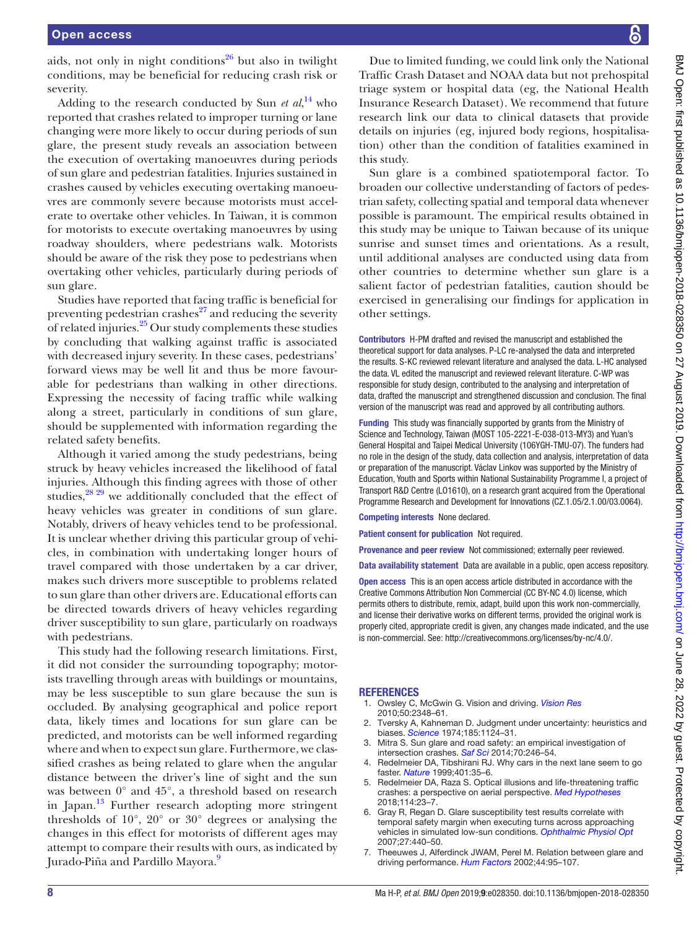aids, not only in night conditions<sup>26</sup> but also in twilight conditions, may be beneficial for reducing crash risk or severity.

Adding to the research conducted by Sun *et al*, [14](#page-8-6) who reported that crashes related to improper turning or lane changing were more likely to occur during periods of sun glare, the present study reveals an association between the execution of overtaking manoeuvres during periods of sun glare and pedestrian fatalities. Injuries sustained in crashes caused by vehicles executing overtaking manoeuvres are commonly severe because motorists must accelerate to overtake other vehicles. In Taiwan, it is common for motorists to execute overtaking manoeuvres by using roadway shoulders, where pedestrians walk. Motorists should be aware of the risk they pose to pedestrians when overtaking other vehicles, particularly during periods of sun glare.

Studies have reported that facing traffic is beneficial for preventing pedestrian crashes $^{27}$  and reducing the severity of related injuries. $^{25}$  Our study complements these studies by concluding that walking against traffic is associated with decreased injury severity. In these cases, pedestrians' forward views may be well lit and thus be more favourable for pedestrians than walking in other directions. Expressing the necessity of facing traffic while walking along a street, particularly in conditions of sun glare, should be supplemented with information regarding the related safety benefits.

Although it varied among the study pedestrians, being struck by heavy vehicles increased the likelihood of fatal injuries. Although this finding agrees with those of other studies, $^{28}$  29 we additionally concluded that the effect of heavy vehicles was greater in conditions of sun glare. Notably, drivers of heavy vehicles tend to be professional. It is unclear whether driving this particular group of vehicles, in combination with undertaking longer hours of travel compared with those undertaken by a car driver, makes such drivers more susceptible to problems related to sun glare than other drivers are. Educational efforts can be directed towards drivers of heavy vehicles regarding driver susceptibility to sun glare, particularly on roadways with pedestrians.

This study had the following research limitations. First, it did not consider the surrounding topography; motorists travelling through areas with buildings or mountains, may be less susceptible to sun glare because the sun is occluded. By analysing geographical and police report data, likely times and locations for sun glare can be predicted, and motorists can be well informed regarding where and when to expect sun glare. Furthermore, we classified crashes as being related to glare when the angular distance between the driver's line of sight and the sun was between 0° and 45°, a threshold based on research in Japan. $^{13}$  $^{13}$  $^{13}$  Further research adopting more stringent thresholds of 10°, 20° or 30° degrees or analysing the changes in this effect for motorists of different ages may attempt to compare their results with ours, as indicated by Jurado-Piña and Pardillo Mayora.<sup>9</sup>

Due to limited funding, we could link only the National Traffic Crash Dataset and NOAA data but not prehospital triage system or hospital data (eg, the National Health Insurance Research Dataset). We recommend that future research link our data to clinical datasets that provide details on injuries (eg, injured body regions, hospitalisation) other than the condition of fatalities examined in this study.

Sun glare is a combined spatiotemporal factor. To broaden our collective understanding of factors of pedestrian safety, collecting spatial and temporal data whenever possible is paramount. The empirical results obtained in this study may be unique to Taiwan because of its unique sunrise and sunset times and orientations. As a result, until additional analyses are conducted using data from other countries to determine whether sun glare is a salient factor of pedestrian fatalities, caution should be exercised in generalising our findings for application in other settings.

Contributors H-PM drafted and revised the manuscript and established the theoretical support for data analyses. P-LC re-analysed the data and interpreted the results. S-KC reviewed relevant literature and analysed the data. L-HC analysed the data. VL edited the manuscript and reviewed relevant literature. C-WP was responsible for study design, contributed to the analysing and interpretation of data, drafted the manuscript and strengthened discussion and conclusion. The final version of the manuscript was read and approved by all contributing authors.

Funding This study was financially supported by grants from the Ministry of Science and Technology, Taiwan (MOST 105-2221-E-038-013-MY3) and Yuan's General Hospital and Taipei Medical University (106YGH-TMU-07). The funders had no role in the design of the study, data collection and analysis, interpretation of data or preparation of the manuscript. Václav Linkov was supported by the Ministry of Education, Youth and Sports within National Sustainability Programme I, a project of Transport R&D Centre (LO1610), on a research grant acquired from the Operational Programme Research and Development for Innovations (CZ.1.05/2.1.00/03.0064).

Competing interests None declared.

Patient consent for publication Not required.

Provenance and peer review Not commissioned; externally peer reviewed.

Data availability statement Data are available in a public, open access repository.

Open access This is an open access article distributed in accordance with the Creative Commons Attribution Non Commercial (CC BY-NC 4.0) license, which permits others to distribute, remix, adapt, build upon this work non-commercially, and license their derivative works on different terms, provided the original work is properly cited, appropriate credit is given, any changes made indicated, and the use is non-commercial. See: [http://creativecommons.org/licenses/by-nc/4.0/.](http://creativecommons.org/licenses/by-nc/4.0/)

#### **REFERENCES**

- <span id="page-7-0"></span>1. Owsley C, McGwin G. Vision and driving. *[Vision Res](http://dx.doi.org/10.1016/j.visres.2010.05.021)* 2010;50:2348–61.
- <span id="page-7-1"></span>Tversky A, Kahneman D. Judgment under uncertainty: heuristics and biases. *[Science](http://dx.doi.org/10.1126/science.185.4157.1124)* 1974;185:1124–31.
- <span id="page-7-5"></span>3. Mitra S. Sun glare and road safety: an empirical investigation of intersection crashes. *[Saf Sci](http://dx.doi.org/10.1016/j.ssci.2014.06.005)* 2014;70:246–54.
- <span id="page-7-2"></span>4. Redelmeier DA, Tibshirani RJ. Why cars in the next lane seem to go faster. *[Nature](http://dx.doi.org/10.1038/43360)* 1999;401:35–6.
- 5. Redelmeier DA, Raza S. Optical illusions and life-threatening traffic crashes: a perspective on aerial perspective. *[Med Hypotheses](http://dx.doi.org/10.1016/j.mehy.2018.02.008)* 2018;114:23–7.
- <span id="page-7-3"></span>6. Gray R, Regan D. Glare susceptibility test results correlate with temporal safety margin when executing turns across approaching vehicles in simulated low-sun conditions. *[Ophthalmic Physiol Opt](http://dx.doi.org/10.1111/j.1475-1313.2007.00503.x)* 2007;27:440–50.
- <span id="page-7-4"></span>7. Theeuwes J, Alferdinck JWAM, Perel M. Relation between glare and driving performance. *[Hum Factors](http://dx.doi.org/10.1518/0018720024494775)* 2002;44:95–107.